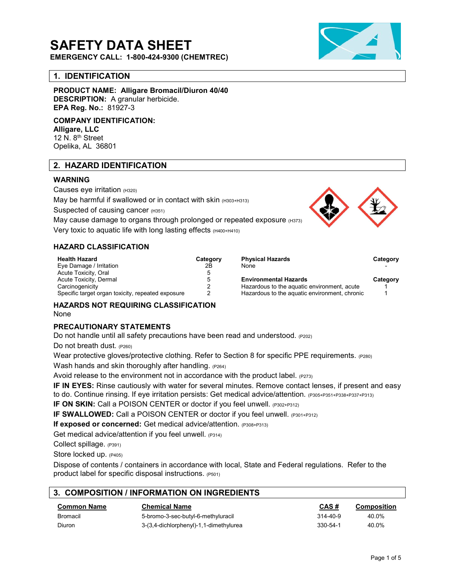# SAFETY DATA SHEET

EMERGENCY CALL: 1-800-424-9300 (CHEMTREC)

# 1. IDENTIFICATION

PRODUCT NAME: Alligare Bromacil/Diuron 40/40 DESCRIPTION: A granular herbicide. EPA Reg. No.: 81927-3

COMPANY IDENTIFICATION: Alligare, LLC

12 N. 8<sup>th</sup> Street Opelika, AL 36801

# 2. HAZARD IDENTIFICATION

## WARNING

Causes eye irritation (H320) May be harmful if swallowed or in contact with skin  $(H303 + H313)$ 

Suspected of causing cancer (H351)

May cause damage to organs through prolonged or repeated exposure (H373)

Very toxic to aquatic life with long lasting effects (H400+H410)

## HAZARD CLASSIFICATION

| <b>Health Hazard</b>                              | Category | <b>Physical Hazards</b>                       | Categ |
|---------------------------------------------------|----------|-----------------------------------------------|-------|
| Eye Damage / Irritation                           | 2Β       | None                                          |       |
| Acute Toxicity, Oral                              |          |                                               |       |
| Acute Toxicity, Dermal                            | 5        | <b>Environmental Hazards</b>                  | Cateq |
| Carcinogenicity                                   |          | Hazardous to the aquatic environment, acute   |       |
| Specific target organ toxicity, repeated exposure |          | Hazardous to the aguatic environment, chronic |       |



| <b>Health Hazard</b>                              | Category | <b>Physical Hazards</b>                       | Category |
|---------------------------------------------------|----------|-----------------------------------------------|----------|
| Eye Damage / Irritation                           | 2Β       | None                                          |          |
| Acute Toxicity, Oral                              |          |                                               |          |
| Acute Toxicity, Dermal                            |          | <b>Environmental Hazards</b>                  | Category |
| Carcinogenicity                                   |          | Hazardous to the aguatic environment, acute   |          |
| Specific target organ toxicity, repeated exposure |          | Hazardous to the aquatic environment, chronic |          |

HAZARDS NOT REQUIRING CLASSIFICATION None

#### PRECAUTIONARY STATEMENTS

Do not handle until all safety precautions have been read and understood. (P202)

Do not breath dust. (P260)

Wear protective gloves/protective clothing. Refer to Section 8 for specific PPE requirements. (P280) Wash hands and skin thoroughly after handling.  $(P264)$ 

Avoid release to the environment not in accordance with the product label.  $(P273)$ 

IF IN EYES: Rinse cautiously with water for several minutes. Remove contact lenses, if present and easy to do. Continue rinsing. If eye irritation persists: Get medical advice/attention. (P305+P351+P338+P337+P313)

IF ON SKIN: Call a POISON CENTER or doctor if you feel unwell. (P302+P312)

IF SWALLOWED: Call a POISON CENTER or doctor if you feel unwell. (P301+P312)

If exposed or concerned: Get medical advice/attention. (P308+P313)

Get medical advice/attention if you feel unwell. (P314)

Collect spillage. (P391)

Store locked up. (P405)

Dispose of contents / containers in accordance with local, State and Federal regulations. Refer to the product label for specific disposal instructions. (P501)

# 3. COMPOSITION / INFORMATION ON INGREDIENTS

| <b>Common Name</b> | Chemical Name                          | CAS#           | Composition |
|--------------------|----------------------------------------|----------------|-------------|
| Bromacil           | 5-bromo-3-sec-butyl-6-methyluracil     | $314 - 40 - 9$ | 40.0%       |
| Diuron             | 3-(3,4-dichlorphenyl)-1,1-dimethylurea | 330-54-1       | 40.0%       |

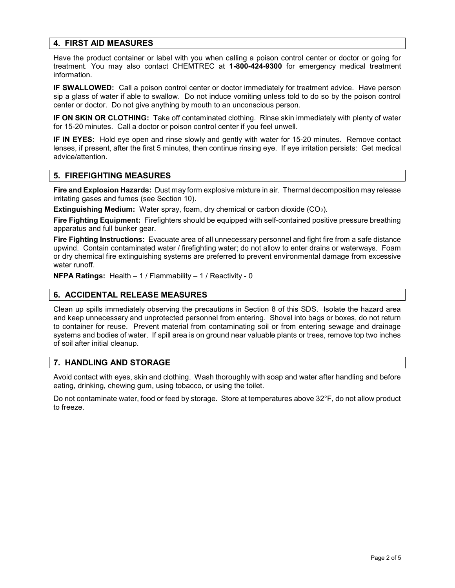# 4. FIRST AID MEASURES

Have the product container or label with you when calling a poison control center or doctor or going for treatment. You may also contact CHEMTREC at 1-800-424-9300 for emergency medical treatment information.

IF SWALLOWED: Call a poison control center or doctor immediately for treatment advice. Have person sip a glass of water if able to swallow. Do not induce vomiting unless told to do so by the poison control center or doctor. Do not give anything by mouth to an unconscious person.

IF ON SKIN OR CLOTHING: Take off contaminated clothing. Rinse skin immediately with plenty of water for 15-20 minutes. Call a doctor or poison control center if you feel unwell.

IF IN EYES: Hold eye open and rinse slowly and gently with water for 15-20 minutes. Remove contact lenses, if present, after the first 5 minutes, then continue rinsing eye. If eye irritation persists: Get medical advice/attention.

## 5. FIREFIGHTING MEASURES

Fire and Explosion Hazards: Dust may form explosive mixture in air. Thermal decomposition may release irritating gases and fumes (see Section 10).

Extinguishing Medium: Water spray, foam, dry chemical or carbon dioxide (CO2).

Fire Fighting Equipment: Firefighters should be equipped with self-contained positive pressure breathing apparatus and full bunker gear.

Fire Fighting Instructions: Evacuate area of all unnecessary personnel and fight fire from a safe distance upwind. Contain contaminated water / firefighting water; do not allow to enter drains or waterways. Foam or dry chemical fire extinguishing systems are preferred to prevent environmental damage from excessive water runoff.

**NFPA Ratings:** Health  $-1/$  Flammability  $-1/$  Reactivity - 0

# 6. ACCIDENTAL RELEASE MEASURES

Clean up spills immediately observing the precautions in Section 8 of this SDS. Isolate the hazard area and keep unnecessary and unprotected personnel from entering. Shovel into bags or boxes, do not return to container for reuse. Prevent material from contaminating soil or from entering sewage and drainage systems and bodies of water. If spill area is on ground near valuable plants or trees, remove top two inches of soil after initial cleanup.

# 7. HANDLING AND STORAGE

Avoid contact with eyes, skin and clothing. Wash thoroughly with soap and water after handling and before eating, drinking, chewing gum, using tobacco, or using the toilet.

Do not contaminate water, food or feed by storage. Store at temperatures above 32°F, do not allow product to freeze.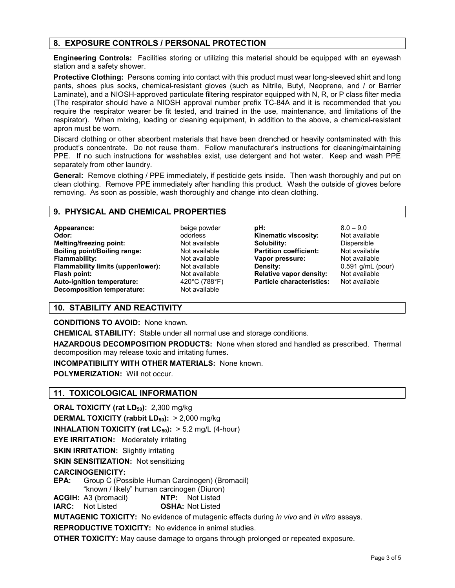# 8. EXPOSURE CONTROLS / PERSONAL PROTECTION

Engineering Controls: Facilities storing or utilizing this material should be equipped with an eyewash station and a safety shower.

Protective Clothing: Persons coming into contact with this product must wear long-sleeved shirt and long pants, shoes plus socks, chemical-resistant gloves (such as Nitrile, Butyl, Neoprene, and / or Barrier Laminate), and a NIOSH-approved particulate filtering respirator equipped with N, R, or P class filter media (The respirator should have a NIOSH approval number prefix TC-84A and it is recommended that you require the respirator wearer be fit tested, and trained in the use, maintenance, and limitations of the respirator). When mixing, loading or cleaning equipment, in addition to the above, a chemical-resistant apron must be worn.

Discard clothing or other absorbent materials that have been drenched or heavily contaminated with this product's concentrate. Do not reuse them. Follow manufacturer's instructions for cleaning/maintaining PPE. If no such instructions for washables exist, use detergent and hot water. Keep and wash PPE separately from other laundry.

General: Remove clothing / PPE immediately, if pesticide gets inside. Then wash thoroughly and put on clean clothing. Remove PPE immediately after handling this product. Wash the outside of gloves before removing. As soon as possible, wash thoroughly and change into clean clothing.

#### 9. PHYSICAL AND CHEMICAL PROPERTIES

Appearance: beige powder Odor: odorless Melting/freezing point: Not available **Boiling point/Boiling range:** Not available **Flammability:** Not available Flammability limits (upper/lower): Not available **Flash point:** Not available Auto-ignition temperature: 420°C (788°F) Decomposition temperature: Not available

**pH:**  $8.0 - 9.0$ Kinematic viscosity: Not available Solubility: Dispersible **Partition coefficient:** Not available Vapor pressure: Not available Density: 0.591 g/mL (pour) Relative vapor density: Not available Particle characteristics: Not available

# 10. STABILITY AND REACTIVITY

CONDITIONS TO AVOID: None known.

CHEMICAL STABILITY: Stable under all normal use and storage conditions.

HAZARDOUS DECOMPOSITION PRODUCTS: None when stored and handled as prescribed. Thermal decomposition may release toxic and irritating fumes.

INCOMPATIBILITY WITH OTHER MATERIALS: None known.

POLYMERIZATION: Will not occur.

# 11. TOXICOLOGICAL INFORMATION

**ORAL TOXICITY (rat**  $LD_{50}$ **):** 2,300 mg/kg

**DERMAL TOXICITY (rabbit LD<sub>50</sub>):**  $> 2,000$  mg/kg

**INHALATION TOXICITY (rat LC** $_{50}$ **):**  $> 5.2$  mg/L (4-hour)

EYE IRRITATION: Moderately irritating

**SKIN IRRITATION: Slightly irritating** 

SKIN SENSITIZATION: Not sensitizing

# CARCINOGENICITY:

EPA: Group C (Possible Human Carcinogen) (Bromacil) "known / likely" human carcinogen (Diuron)

ACGIH: A3 (bromacil) **NTP:** Not Listed

IARC: Not Listed OSHA: Not Listed

**MUTAGENIC TOXICITY:** No evidence of mutagenic effects during in vivo and in vitro assays.

REPRODUCTIVE TOXICITY: No evidence in animal studies.

OTHER TOXICITY: May cause damage to organs through prolonged or repeated exposure.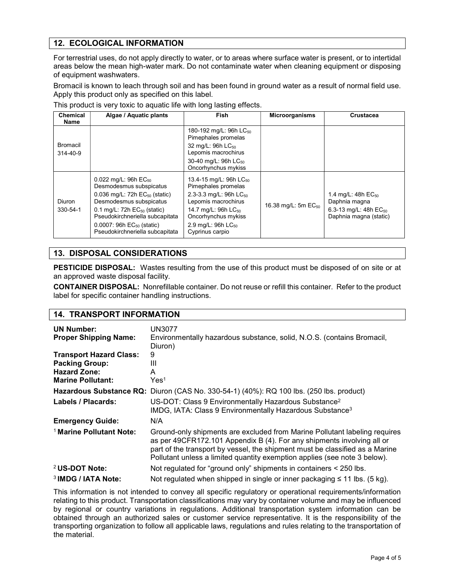# 12. ECOLOGICAL INFORMATION

For terrestrial uses, do not apply directly to water, or to areas where surface water is present, or to intertidal areas below the mean high-water mark. Do not contaminate water when cleaning equipment or disposing of equipment washwaters.

Bromacil is known to leach through soil and has been found in ground water as a result of normal field use. Apply this product only as specified on this label.

| <b>Chemical</b><br>Name    | Algae / Aquatic plants                                                                                                                                                                                                                                                          | Fish                                                                                                                                                                                                                                  | <b>Microorganisms</b>           | <b>Crustacea</b>                                                                                 |
|----------------------------|---------------------------------------------------------------------------------------------------------------------------------------------------------------------------------------------------------------------------------------------------------------------------------|---------------------------------------------------------------------------------------------------------------------------------------------------------------------------------------------------------------------------------------|---------------------------------|--------------------------------------------------------------------------------------------------|
| Bromacil<br>$314 - 40 - 9$ |                                                                                                                                                                                                                                                                                 | 180-192 mg/L: 96h LC <sub>50</sub><br>Pimephales promelas<br>32 mg/L: 96h LC <sub>50</sub><br>Lepomis macrochirus<br>30-40 mg/L: 96h LC <sub>50</sub><br>Oncorhynchus mykiss                                                          |                                 |                                                                                                  |
| <b>Diuron</b><br>330-54-1  | 0.022 mg/L: 96h $EC_{50}$<br>Desmodesmus subspicatus<br>$0.036$ mg/L: 72h $EC_{50}$ (static)<br>Desmodesmus subspicatus<br>0.1 mg/L: $72h$ EC <sub>50</sub> (static)<br>Pseudokirchneriella subcapitata<br>$0.0007$ : 96h $EC_{50}$ (static)<br>Pseudokirchneriella subcapitata | 13.4-15 mg/L: 96h LC <sub>50</sub><br>Pimephales promelas<br>2.3-3.3 mg/L: 96h LC <sub>50</sub><br>Lepomis macrochirus<br>14.7 mg/L: 96h LC <sub>50</sub><br>Oncorhynchus mykiss<br>2.9 mg/L: 96h LC <sub>50</sub><br>Cyprinus carpio | 16.38 mg/L: 5m EC <sub>50</sub> | 1.4 mg/L: 48h $EC_{50}$<br>Daphnia magna<br>6.3-13 mg/L: 48h $EC_{50}$<br>Daphnia magna (static) |

This product is very toxic to aquatic life with long lasting effects.

# 13. DISPOSAL CONSIDERATIONS

PESTICIDE DISPOSAL: Wastes resulting from the use of this product must be disposed of on site or at an approved waste disposal facility.

CONTAINER DISPOSAL: Nonrefillable container. Do not reuse or refill this container. Refer to the product label for specific container handling instructions.

# 14. TRANSPORT INFORMATION

| <b>UN Number:</b><br><b>Proper Shipping Name:</b>                                                          | UN3077<br>Environmentally hazardous substance, solid, N.O.S. (contains Bromacil,<br>Diuron)                                                                                                                                                                                                                       |
|------------------------------------------------------------------------------------------------------------|-------------------------------------------------------------------------------------------------------------------------------------------------------------------------------------------------------------------------------------------------------------------------------------------------------------------|
| <b>Transport Hazard Class:</b><br><b>Packing Group:</b><br><b>Hazard Zone:</b><br><b>Marine Pollutant:</b> | 9<br>Ш<br>A<br>Yes <sup>1</sup>                                                                                                                                                                                                                                                                                   |
|                                                                                                            | Hazardous Substance RQ: Diuron (CAS No. 330-54-1) (40%): RQ 100 lbs. (250 lbs. product)                                                                                                                                                                                                                           |
| Labels / Placards:                                                                                         | US-DOT: Class 9 Environmentally Hazardous Substance <sup>2</sup><br>IMDG, IATA: Class 9 Environmentally Hazardous Substance <sup>3</sup>                                                                                                                                                                          |
| <b>Emergency Guide:</b>                                                                                    | N/A                                                                                                                                                                                                                                                                                                               |
| <sup>1</sup> Marine Pollutant Note:                                                                        | Ground-only shipments are excluded from Marine Pollutant labeling requires<br>as per 49CFR172.101 Appendix B (4). For any shipments involving all or<br>part of the transport by vessel, the shipment must be classified as a Marine<br>Pollutant unless a limited quantity exemption applies (see note 3 below). |
| <sup>2</sup> US-DOT Note:                                                                                  | Not regulated for "ground only" shipments in containers < 250 lbs.                                                                                                                                                                                                                                                |
| <sup>3</sup> IMDG / IATA Note:                                                                             | Not regulated when shipped in single or inner packaging $\leq 11$ lbs. (5 kg).                                                                                                                                                                                                                                    |

This information is not intended to convey all specific regulatory or operational requirements/information relating to this product. Transportation classifications may vary by container volume and may be influenced by regional or country variations in regulations. Additional transportation system information can be obtained through an authorized sales or customer service representative. It is the responsibility of the transporting organization to follow all applicable laws, regulations and rules relating to the transportation of the material.